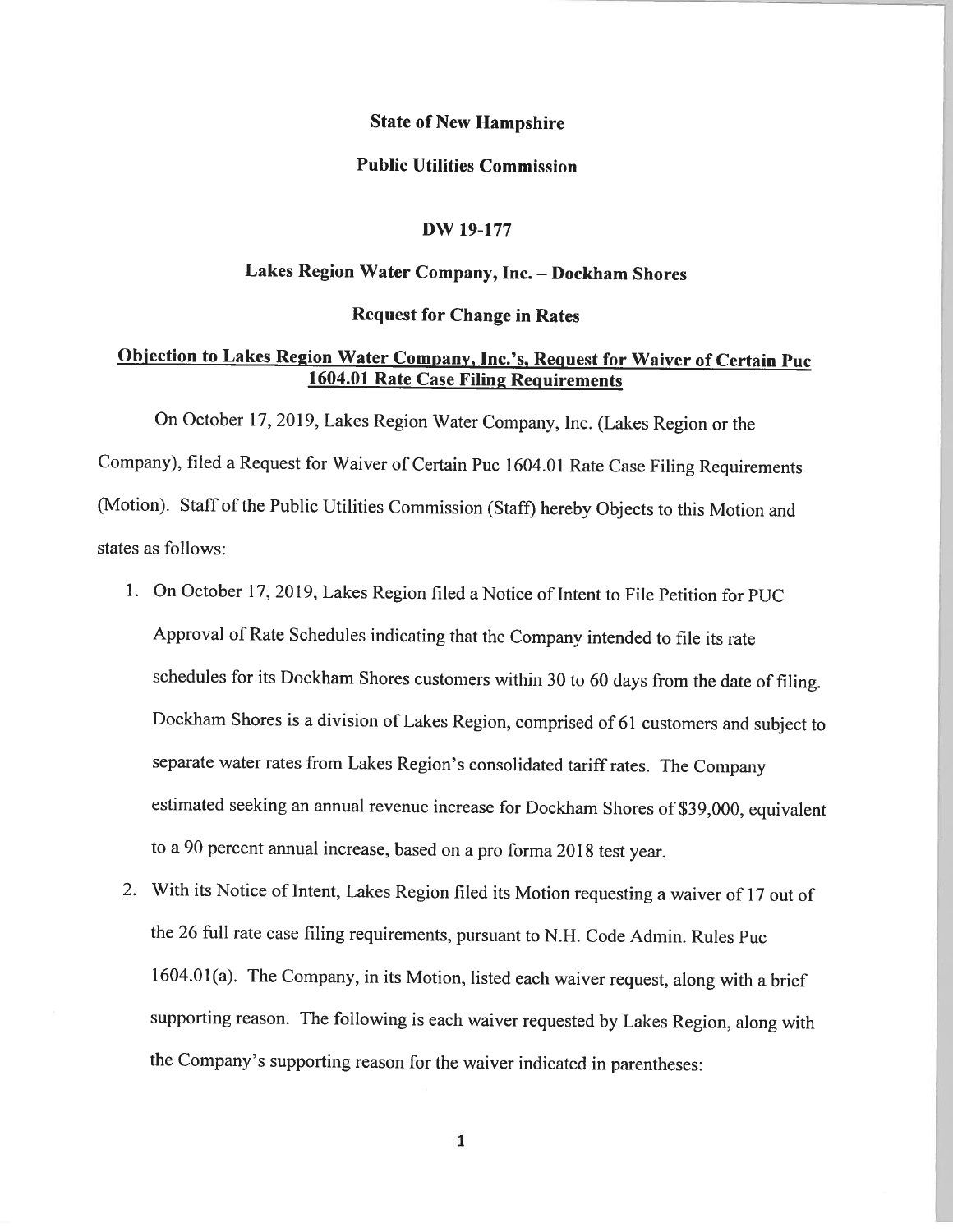## State of New Hampshire

### Public Utilities Commission

#### DW 19-177

# Lakes Region Water Company, Inc. — Dockham Shores

### Request for Change in Rates

# Objection to Lakes Region Water Company, Inc.'s, Request for Waiver of Certain Puc 1604.01 Rate Case Filing Requirements

On October 17, 2019, Lakes Region Water Company, Inc. (Lakes Region or the Company), filed <sup>a</sup> Request for Waiver of Certain Puc 1604.01 Rate Case Filing Requirements (Motion). Staff of the Public Utilities Commission (Staff) hereby Objects to this Motion and states as follows:

- 1. On October 17, 2019, Lakes Region filed <sup>a</sup> Notice of Intent to File Petition for PUC Approval of Rate Schedules indicating that the Company intended to file its rate schedules for its Dockham Shores customers within <sup>30</sup> to <sup>60</sup> days from the date of filing. Dockharn Shores is <sup>a</sup> division of Lakes Region, comprised of <sup>61</sup> customers and subject to separate water rates from Lakes Region's consolidated tariff rates. The Company estimated seeking an annual revenue increase for Dockham Shores of \$39,000, equivalent to a 90 percent annual increase, based on a pro forma 2018 test year.
- 2. With its Notice of Intent, Lakes Region filed its Motion requesting <sup>a</sup> waiver of <sup>17</sup> out of the <sup>26</sup> full rate case filing requirements, pursuant to N.H. Code Admin. Rules Puc 1604.01(a). The Company, in its Motion, listed each waiver request, along with <sup>a</sup> brief supporting reason. The following is each waiver requested by Lakes Region, along with the Company's supporting reason for the waiver indicated in parentheses:

1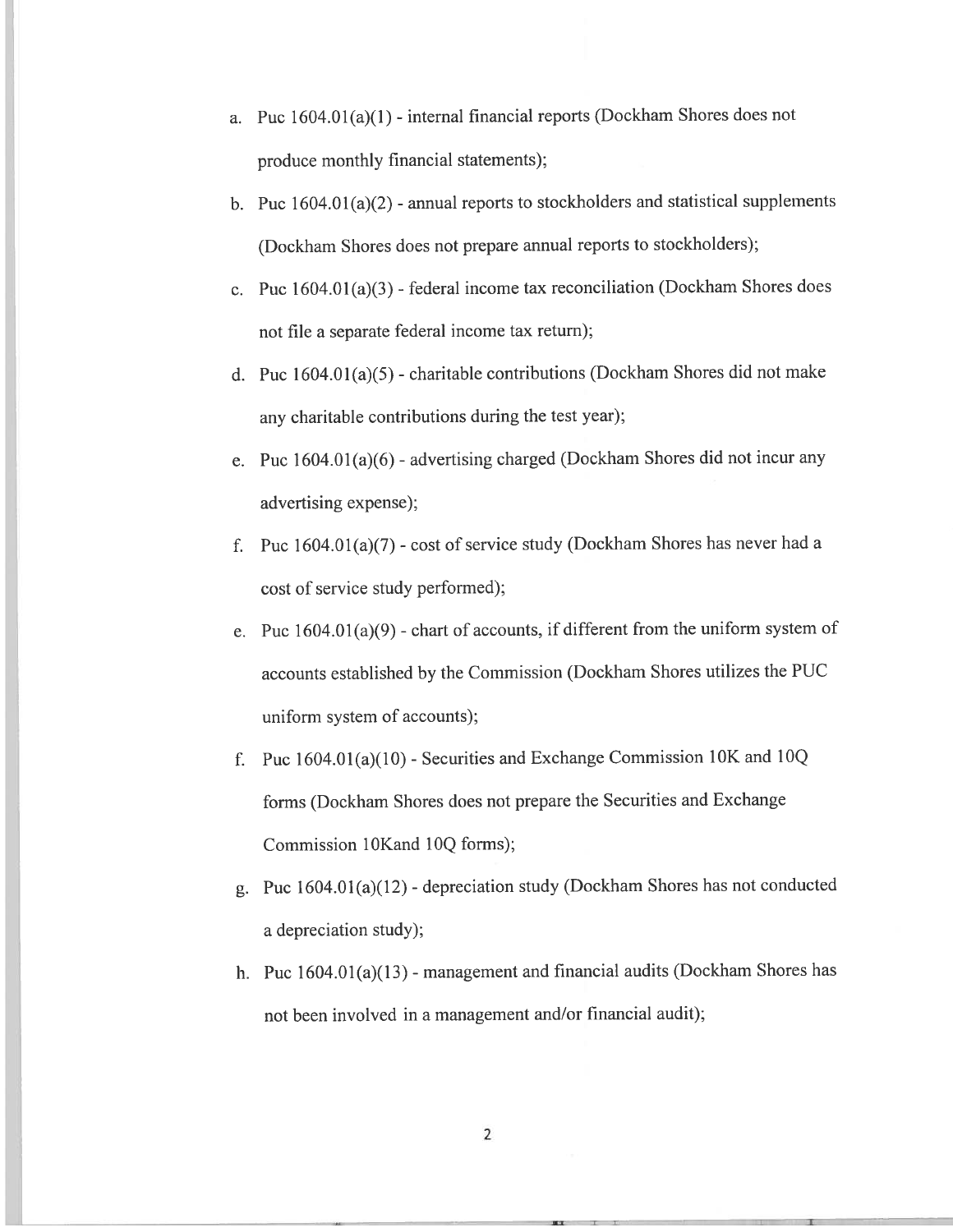- a. Puc  $1604.01(a)(1)$  internal financial reports (Dockham Shores does not produce monthly financial statements);
- b. Puc  $1604.01(a)(2)$  annual reports to stockholders and statistical supplements (Dockharn Shores does not prepare annual reports to stockholders);
- c. Puc  $1604.01(a)(3)$  federal income tax reconciliation (Dockham Shores does not file <sup>a</sup> separate federal income tax return);
- d. Puc 1604.0 1(a)(5) charitable contributions (Dockham Shores did not make any charitable contributions during the test year):
- e. Puc 1604.01(a)(6) advertising charged (Dockham Shores did not incur any advertising expense);
- f. Puc  $1604.01(a)(7)$  cost of service study (Dockham Shores has never had a cost of service study performed);
- e. Puc  $1604.01(a)(9)$  chart of accounts, if different from the uniform system of accounts established by the Commission (Dockham Shores utilizes the PUC uniform system of accounts);
- fPuc  $1604.01(a)(10)$  - Securities and Exchange Commission 10K and 10Q forms (Dockham Shores does not prepare the Securities and Exchange Commission 10Kand 10Q forms);
- g. Puc 1604.01(a)(12) depreciation study (Dockham Shores has not conducted <sup>a</sup> depreciation study);
- h. Puc  $1604.01(a)(13)$  management and financial audits (Dockham Shores has not been involved in <sup>a</sup> managemen<sup>t</sup> and/or financial audit):

-j. <sup>1</sup>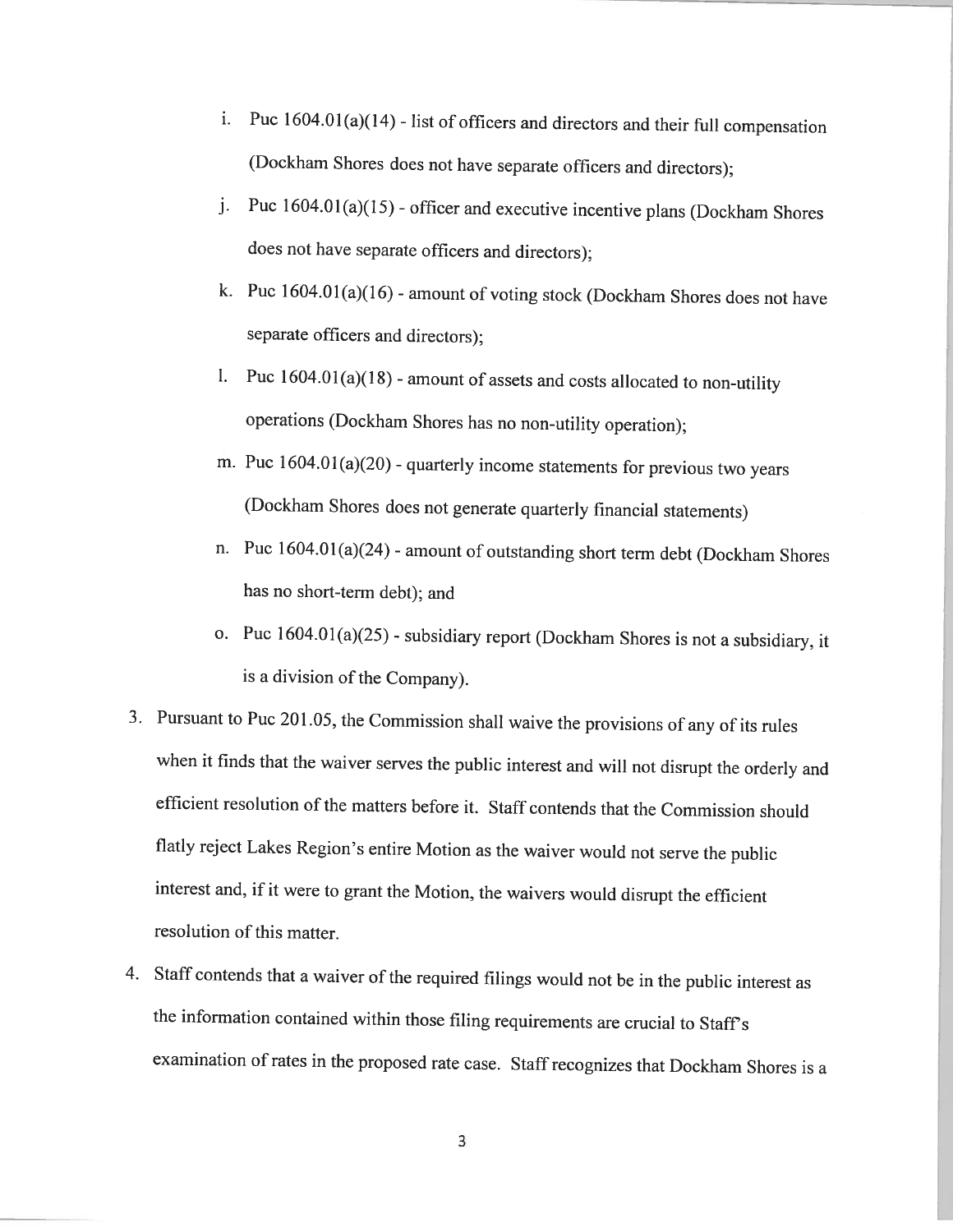- i. Puc  $1604.01(a)(14)$  list of officers and directors and their full compensation (Dockham Shores does not have separate officers and directors);
- j. Puc  $1604.01(a)(15)$  officer and executive incentive plans (Dockham Shores does not have separate officers and directors);
- k. Puc  $1604.01(a)(16)$  amount of voting stock (Dockham Shores does not have separate officers and directors);
- 1. Puc  $1604.01(a)(18)$  amount of assets and costs allocated to non-utility operations (Dockharn Shores has no non-utility operation);
- m. Puc  $1604.01(a)(20)$  quarterly income statements for previous two years (Dockharn Shores does not generate quarterly financial statements)
- n. Puc 1604.01 (a)(24) amount of outstanding short term debt (Dockham Shores has no short-term debt); and
- o. Puc  $1604.01(a)(25)$  subsidiary report (Dockham Shores is not a subsidiary, it is <sup>a</sup> division of the Company).
- 3. Pursuant to Puc 201.05, the Commission shall waive the provisions of any of its rules when it finds that the waiver serves the public interest and will not disrupt the orderly and efficient resolution of the matters before it. Staff contends that the Commission should flatly reject Lakes Region's entire Motion as the waiver would not serve the public interest and, if it were to grant the Motion, the waivers would disrupt the efficient resolution of this matter.
- 4. Staff contends that <sup>a</sup> waiver of the required filings would not be in the public interest as the information contained within those filing requirements are crucial to Staff's examination of rates in the proposed rate case. Staff recognizes that Dockham Shores is a

3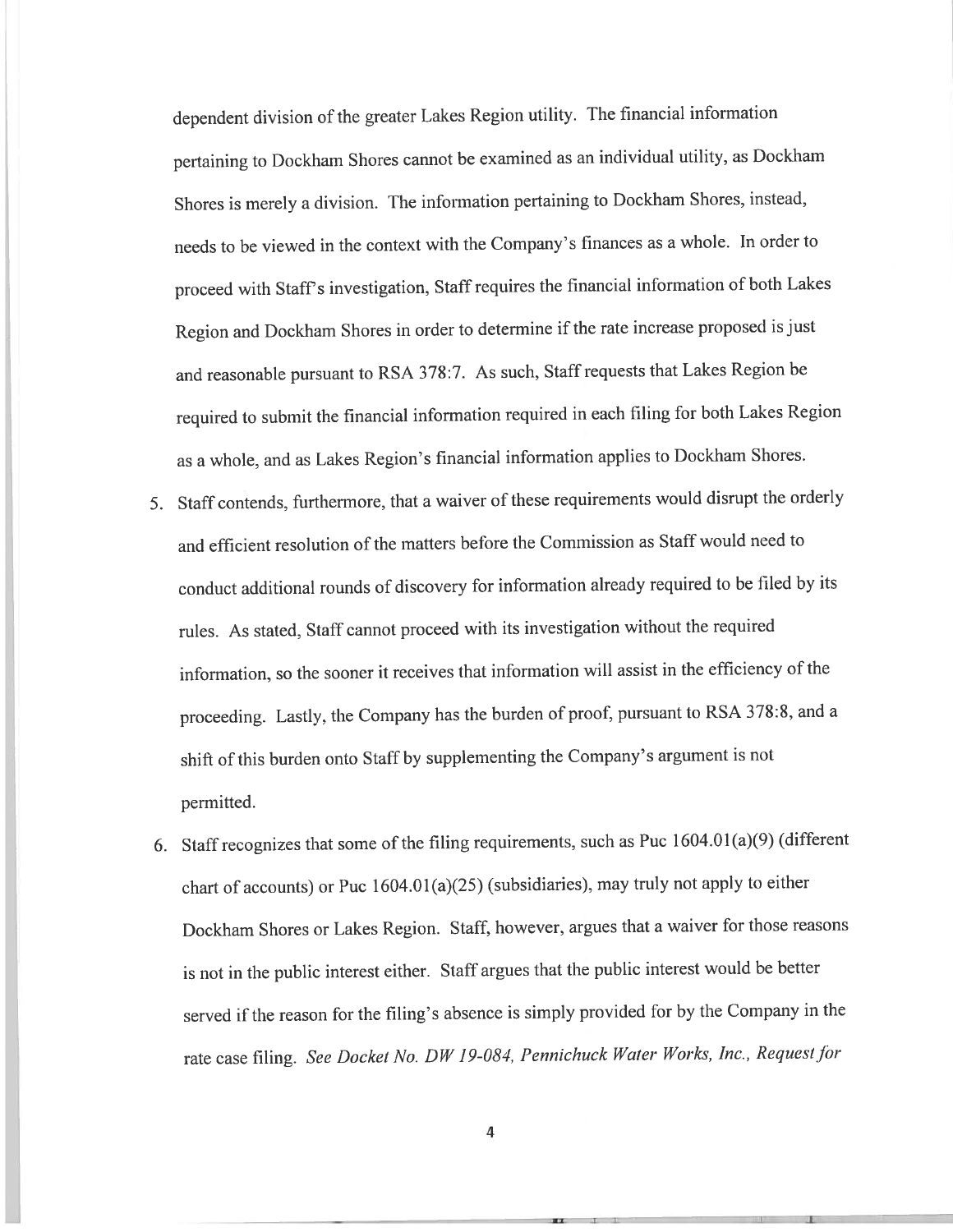dependent division of the greater Lakes Region utility. The financial information pertaining to Dockham Shores cannot be examined as an individual utility, as Dockham Shores is merely a division. The information pertaining to Dockham Shores, instead, needs to be viewed in the context with the Company's finances as <sup>a</sup> whole. In order to proceed with Staff's investigation, Staff requires the financial information of both Lakes Region and Dockharn Shores in order to determine if the rate increase propose<sup>d</sup> is just and reasonable pursuan<sup>t</sup> to RSA 378:7. As such, Staff requests that Lakes Region be required to submit the financial information required in each filing for both Lakes Region as <sup>a</sup> whole, and as Lakes Region's financial information applies to Dockham Shores.

- 5. Staff contends, furthermore, that <sup>a</sup> waiver of these requirements would disrupt the orderly and efficient resolution of the matters before the Commission as Staff would need to conduct additional rounds of discovery for information already required to be filed by its rules. As stated, Staff cannot procee<sup>d</sup> with its investigation without the required information, so the sooner it receives that information will assist in the efficiency of the proceeding. Lastly, the Company has the burden of proof, pursuan<sup>t</sup> to RSA 378:8, and <sup>a</sup> shift of this burden onto Staff by supplementing the Company's argument is not permitted.
- 6. Staff recognizes that some of the filing requirements, such as Puc  $1604.01(a)(9)$  (different chart of accounts) or Puc 1604.01(a)(25) (subsidiaries), may truly not apply to either Dockham Shores or Lakes Region. Staff, however, argues that <sup>a</sup> waiver for those reasons is not in the public interest either. Staff argues that the public interest would he better served if the reason for the filing's absence is simply provided for by the Company in the rate case filing. See Docket No. DW 19-084, Pennichuck Water Works, Inc., Request for

4

=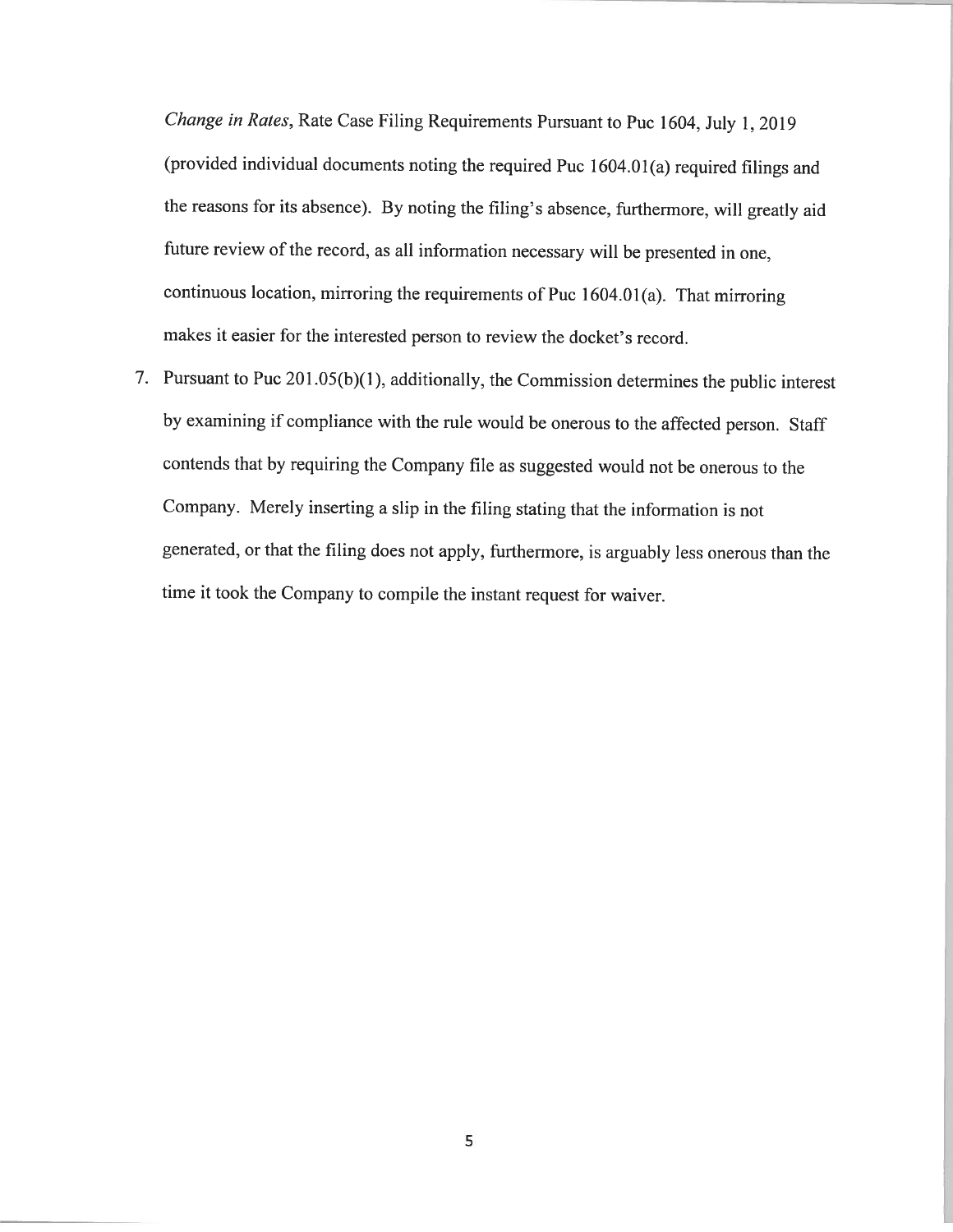Change in Rates, Rate Case Filing Requirements Pursuant to Puc 1604, July 1, <sup>2019</sup> (provided individual documents noting the required Puc  $1604.01(a)$  required filings and the reasons for its absence). By noting the filing's absence, furthermore, will greatly aid future review of the record, as all information necessary will be presented in one, continuous location, mirroring the requirements of Puc 1604.01(a). That mirroring makes it easier for the interested person to review the docket's record.

7. Pursuant to Puc 201.05(b)(1), additionally, the Commission determines the public interest by examining if compliance with the rule would be onerous to the affected person. Staff contends that by requiring the Company file as suggested would not be onerous to the Company. Merely inserting <sup>a</sup> slip in the filing stating that the information is not generated, or that the filing does not apply, furthermore, is arguably less onerous than the time it took the Company to compile the instant request for waiver.